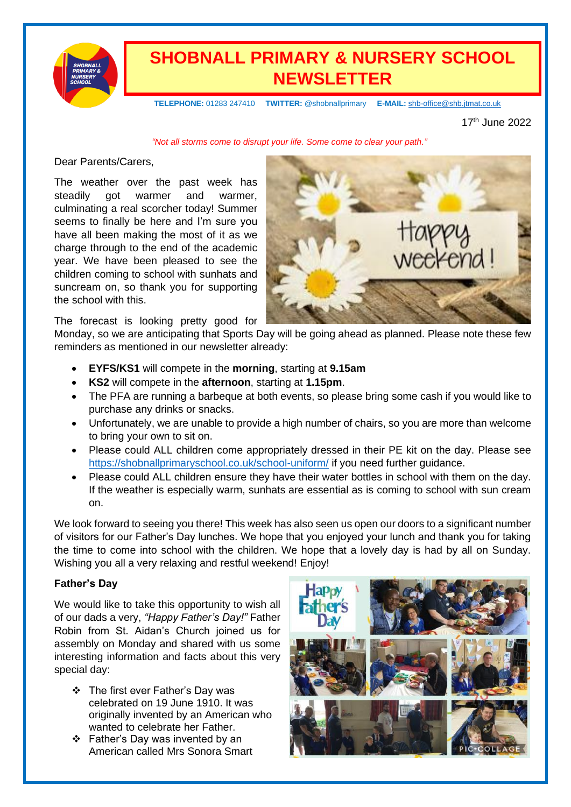

# **SHOBNALL PRIMARY & NURSERY SCHOOL NEWSLETTER**

 **TELEPHONE:** 01283 247410 **TWITTER:** @shobnallprimary **E-MAIL:** [shb-office@shb.jtmat.co.uk](mailto:shb-office@shb.jtmat.co.uk)

17 th June 2022

*"Not all storms come to disrupt your life. Some come to clear your path."*

Dear Parents/Carers,

The weather over the past week has steadily got warmer and warmer, culminating a real scorcher today! Summer seems to finally be here and I'm sure you have all been making the most of it as we charge through to the end of the academic year. We have been pleased to see the children coming to school with sunhats and suncream on, so thank you for supporting the school with this.



The forecast is looking pretty good for

Monday, so we are anticipating that Sports Day will be going ahead as planned. Please note these few reminders as mentioned in our newsletter already:

- **EYFS/KS1** will compete in the **morning**, starting at **9.15am**
- **KS2** will compete in the **afternoon**, starting at **1.15pm**.
- The PFA are running a barbeque at both events, so please bring some cash if you would like to purchase any drinks or snacks.
- Unfortunately, we are unable to provide a high number of chairs, so you are more than welcome to bring your own to sit on.
- Please could ALL children come appropriately dressed in their PE kit on the day. Please see <https://shobnallprimaryschool.co.uk/school-uniform/> if you need further guidance.
- Please could ALL children ensure they have their water bottles in school with them on the day. If the weather is especially warm, sunhats are essential as is coming to school with sun cream on.

We look forward to seeing you there! This week has also seen us open our doors to a significant number of visitors for our Father's Day lunches. We hope that you enjoyed your lunch and thank you for taking the time to come into school with the children. We hope that a lovely day is had by all on Sunday. Wishing you all a very relaxing and restful weekend! Enjoy!

# **Father's Day**

We would like to take this opportunity to wish all of our dads a very, *"Happy Father's Day!"* Father Robin from St. Aidan's Church joined us for assembly on Monday and shared with us some interesting information and facts about this very special day:

- ❖ The first ever Father's Day was celebrated on 19 June 1910. It was originally invented by an American who wanted to celebrate her Father.
- ❖ Father's Day was invented by an American called Mrs Sonora Smart

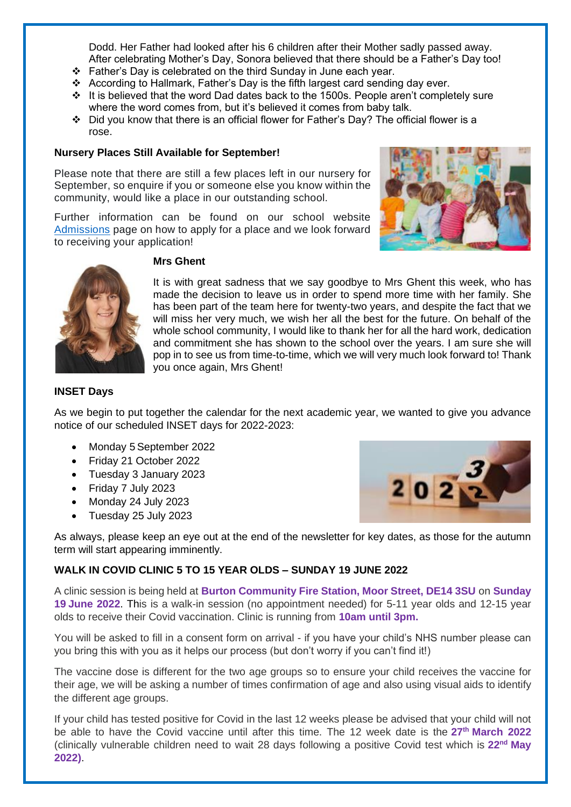Dodd. Her Father had looked after his 6 children after their Mother sadly passed away. After celebrating Mother's Day, Sonora believed that there should be a Father's Day too!

- ❖ Father's Day is celebrated on the third Sunday in June each year.
- ❖ According to Hallmark, Father's Day is the fifth largest card sending day ever.
- ❖ It is believed that the word Dad dates back to the 1500s. People aren't completely sure where the word comes from, but it's believed it comes from baby talk.
- ❖ Did you know that there is an official flower for Father's Day? The official flower is a rose.

#### **Nursery Places Still Available for September!**

Please note that there are still a few places left in our nursery for September, so enquire if you or someone else you know within the community, would like a place in our outstanding school.

Further information can be found on our school website [Admissions](https://shobnallprimaryschool.co.uk/admissions-procedures/) page on how to apply for a place and we look forward to receiving your application!





### **Mrs Ghent**

It is with great sadness that we say goodbye to Mrs Ghent this week, who has made the decision to leave us in order to spend more time with her family. She has been part of the team here for twenty-two years, and despite the fact that we will miss her very much, we wish her all the best for the future. On behalf of the whole school community, I would like to thank her for all the hard work, dedication and commitment she has shown to the school over the years. I am sure she will pop in to see us from time-to-time, which we will very much look forward to! Thank you once again, Mrs Ghent!

#### **INSET Days**

As we begin to put together the calendar for the next academic year, we wanted to give you advance notice of our scheduled INSET days for 2022-2023:

- Monday 5 September 2022
- Friday 21 October 2022
- Tuesday 3 January 2023
- Friday 7 July 2023
- Monday 24 July 2023
- Tuesday 25 July 2023



As always, please keep an eye out at the end of the newsletter for key dates, as those for the autumn term will start appearing imminently.

#### **WALK IN COVID CLINIC 5 TO 15 YEAR OLDS – SUNDAY 19 JUNE 2022**

A clinic session is being held at **Burton Community Fire Station, Moor Street, DE14 3SU** on **Sunday 19 June 2022**. This is a walk-in session (no appointment needed) for 5-11 year olds and 12-15 year olds to receive their Covid vaccination. Clinic is running from **10am until 3pm.**

You will be asked to fill in a consent form on arrival - if you have your child's NHS number please can you bring this with you as it helps our process (but don't worry if you can't find it!)

The vaccine dose is different for the two age groups so to ensure your child receives the vaccine for their age, we will be asking a number of times confirmation of age and also using visual aids to identify the different age groups.

If your child has tested positive for Covid in the last 12 weeks please be advised that your child will not be able to have the Covid vaccine until after this time. The 12 week date is the **27th March 2022** (clinically vulnerable children need to wait 28 days following a positive Covid test which is **22nd May 2022)**.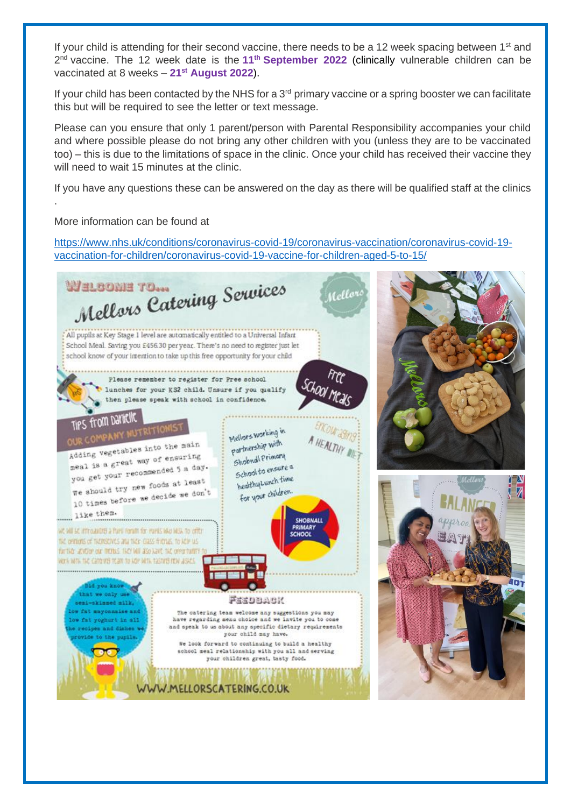If your child is attending for their second vaccine, there needs to be a 12 week spacing between 1<sup>st</sup> and 2 nd vaccine. The 12 week date is the **11th September 2022** (clinically vulnerable children can be vaccinated at 8 weeks – **21st August 2022**).

If your child has been contacted by the NHS for a  $3<sup>rd</sup>$  primary vaccine or a spring booster we can facilitate this but will be required to see the letter or text message.

Please can you ensure that only 1 parent/person with Parental Responsibility accompanies your child and where possible please do not bring any other children with you (unless they are to be vaccinated too) – this is due to the limitations of space in the clinic. Once your child has received their vaccine they will need to wait 15 minutes at the clinic.

If you have any questions these can be answered on the day as there will be qualified staff at the clinics

### More information can be found at

.

[https://www.nhs.uk/conditions/coronavirus-covid-19/coronavirus-vaccination/coronavirus-covid-19](https://www.nhs.uk/conditions/coronavirus-covid-19/coronavirus-vaccination/coronavirus-covid-19-vaccination-for-children/coronavirus-covid-19-vaccine-for-children-aged-5-to-15/) [vaccination-for-children/coronavirus-covid-19-vaccine-for-children-aged-5-to-15/](https://www.nhs.uk/conditions/coronavirus-covid-19/coronavirus-vaccination/coronavirus-covid-19-vaccination-for-children/coronavirus-covid-19-vaccine-for-children-aged-5-to-15/)

MELBOME TO...<br>Mellors Catering Services WHLBONH TO... ello All pupils at Key Stage 1 level are automatically entitled to a Universal Infant School Meal. Saving you £456.30 per year. There's no need to register just let school know of your intention to take up this free opportunity for your child Please remember to register for Pree school lunches for your KS2 child. Unsure if you qualify then please speak with school in confidence. **TIPS from Dannelle** Mellors working in partnership with Adding vegetables into the main Adding vegetables into the minister<br>meal is a great way of ensuring Sholand Primary meal is a great way or ensured a day.<br>you get your recommended 5 a day. Shopping to ensure a school to end time you get your recommends at least<br>we should try new foods at least for your children We should try new locas ave.<br>10 times before we decide we don't like them. SHORNALL WC WILL ET Introducted a Puell Forum for Puels Islas MIS, to office crunni THE OPITIONS OF THEIRSEN'ES AND THEIR CLASS FISHING. TO MEEP U.S. further acycler our menus liker will also have the green turner WORK WITH THE CATO VIS TOAM TO HOP WITH TASTIFIS YOW ASACS. m. at we only us NOABOEER skinned milk. fat mayonnaise and The catering team welcome any suggestions you may have regarding menu choice and we invite you to come fat yoghurt in all and speak to us about any specific dietary requirements **Brand Alabes** your child may have. We look forward to continuing to build a healthy school meal relationship with you all and serving your children great, tasty food. WW.MELLORSCATERING.CO.UK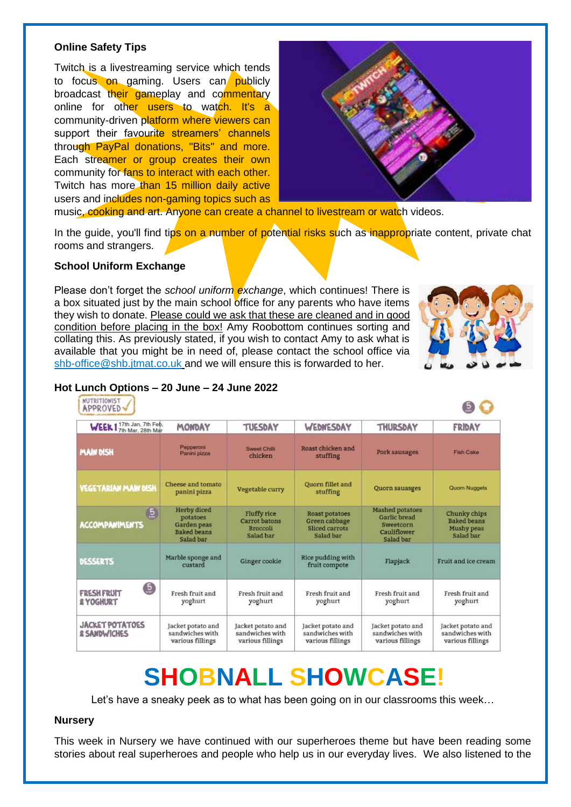#### **Online Safety Tips**

Twitch is a livestreaming service which tends to focus on gaming. Users can publicly broadcast their gameplay and commentary online for other users to watch. It's a community-driven platform where viewers can support their favourite streamers' channels through PayPal donations, "Bits" and more. Each streamer or group creates their own community for fans to interact with each other. Twitch has more than 15 million daily active users and includes non-gaming topics such as



music, cooking and art. Anyone can create a channel to livestream or watch videos.

In the guide, you'll find tips on a number of potential risks such as inappropriate content, private chat rooms and strangers.

#### **School Uniform Exchange**

Please don't forget the *school uniform exchange*, which continues! There is a box situated just by the main school office for any parents who have items they wish to donate. Please could we ask that these are cleaned and in good condition before placing in the box! Amy Roobottom continues sorting and collating this. As previously stated, if you wish to contact Amy to ask what is available that you might be in need of, please contact the school office via [shb-office@shb.jtmat.co.uk](mailto:shb-office@shb.jtmat.co.uk) and we will ensure this is forwarded to her.



#### **Hot Lunch Options – 20 June – 24 June 2022**

| <b>NUTRITIONIST</b><br><b>APPROVED</b>            |                                                                                  |                                                                     |                                                                       |                                                                                 |                                                                      |
|---------------------------------------------------|----------------------------------------------------------------------------------|---------------------------------------------------------------------|-----------------------------------------------------------------------|---------------------------------------------------------------------------------|----------------------------------------------------------------------|
| WEEK 1 7th Jan, 7th Feb.                          | MONDAY                                                                           | <b>TUESDAY</b>                                                      | WEDNESDAY                                                             | <b>THURSDAY</b>                                                                 | <b>FRIDAY</b>                                                        |
| <b>MAIN DISH</b>                                  | Pepperoni<br>Panini pizza                                                        | Sweet Chilli<br>chicken                                             | Roast chicken and<br>stuffing                                         | Pork sausages                                                                   | <b>Fish Cake</b>                                                     |
| <b>VEGETARIAN MAIN DISH</b>                       | Cheese and tomato<br>panini pizza                                                | Vegetable curry                                                     | Quorn fillet and<br>stuffing                                          | Quorn sauasges                                                                  | Quorn Nuggets                                                        |
| 5<br><b>ACCOMPANIMENTS</b>                        | <b>Herby</b> diced<br>potatoes<br>Garden peas<br><b>Baked</b> beans<br>Salad bar | <b>Fluffy rice</b><br>Carrot batons<br><b>Broccoli</b><br>Salad bar | <b>Roast potatoes</b><br>Green cabbage<br>Sliced carrots<br>Salad bar | <b>Mashed potatoes</b><br>Garlic bread<br>Sweetcorn<br>Cauliflower<br>Salad bar | Chunky chips<br><b>Baked</b> beans<br><b>Mushy peas</b><br>Salad bar |
| <b>DESSERTS</b>                                   | Marble sponge and<br>custard                                                     | Ginger cookie                                                       | Rice pudding with<br>fruit compote                                    | Flapjack                                                                        | Fruit and ice cream                                                  |
| 0<br><b>FRESH FRUIT</b><br><b>&amp; YOGHURT</b>   | Fresh fruit and<br>yoghurt                                                       | Fresh fruit and<br>yoghurt                                          | Fresh fruit and<br>yoghurt                                            | Fresh fruit and<br>yoghurt                                                      | Fresh fruit and<br>yoghurt                                           |
| <b>JACKET POTATOES</b><br><b>&amp; SANDWICHES</b> | Jacket potato and<br>sandwiches with<br>various fillings                         | Jacket potato and<br>sandwiches with<br>various fillings            | Jacket potato and<br>sandwiches with<br>various fillings              | Jacket potato and<br>sandwiches with<br>various fillings                        | Jacket potato and<br>sandwiches with<br>various fillings             |

# **SHOBNALL SHOWCASE!**

Let's have a sneaky peek as to what has been going on in our classrooms this week…

#### **Nursery**

This week in Nursery we have continued with our superheroes theme but have been reading some stories about real superheroes and people who help us in our everyday lives. We also listened to the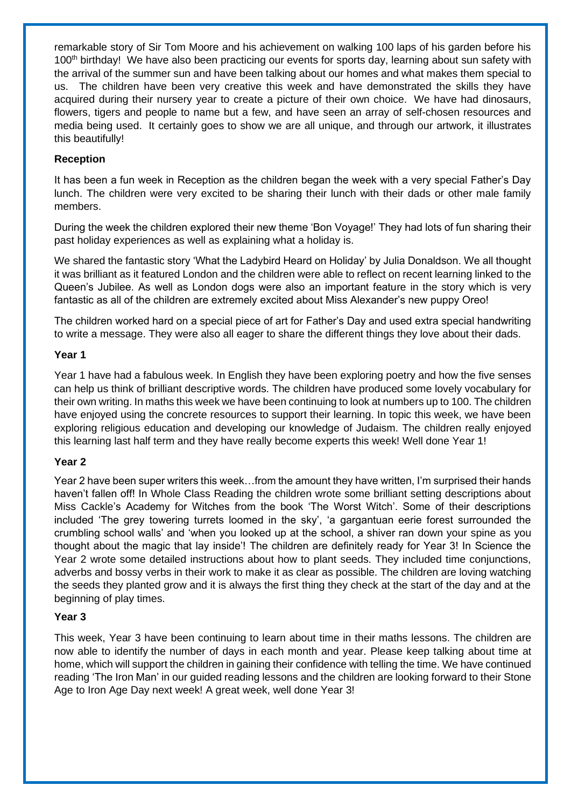remarkable story of Sir Tom Moore and his achievement on walking 100 laps of his garden before his 100<sup>th</sup> birthday! We have also been practicing our events for sports day, learning about sun safety with the arrival of the summer sun and have been talking about our homes and what makes them special to us. The children have been very creative this week and have demonstrated the skills they have acquired during their nursery year to create a picture of their own choice. We have had dinosaurs, flowers, tigers and people to name but a few, and have seen an array of self-chosen resources and media being used. It certainly goes to show we are all unique, and through our artwork, it illustrates this beautifully!

#### **Reception**

It has been a fun week in Reception as the children began the week with a very special Father's Day lunch. The children were very excited to be sharing their lunch with their dads or other male family members.

During the week the children explored their new theme 'Bon Voyage!' They had lots of fun sharing their past holiday experiences as well as explaining what a holiday is.

We shared the fantastic story 'What the Ladybird Heard on Holiday' by Julia Donaldson. We all thought it was brilliant as it featured London and the children were able to reflect on recent learning linked to the Queen's Jubilee. As well as London dogs were also an important feature in the story which is very fantastic as all of the children are extremely excited about Miss Alexander's new puppy Oreo!

The children worked hard on a special piece of art for Father's Day and used extra special handwriting to write a message. They were also all eager to share the different things they love about their dads.

#### **Year 1**

Year 1 have had a fabulous week. In English they have been exploring poetry and how the five senses can help us think of brilliant descriptive words. The children have produced some lovely vocabulary for their own writing. In maths this week we have been continuing to look at numbers up to 100. The children have enjoyed using the concrete resources to support their learning. In topic this week, we have been exploring religious education and developing our knowledge of Judaism. The children really enjoyed this learning last half term and they have really become experts this week! Well done Year 1!

#### **Year 2**

Year 2 have been super writers this week…from the amount they have written, I'm surprised their hands haven't fallen off! In Whole Class Reading the children wrote some brilliant setting descriptions about Miss Cackle's Academy for Witches from the book 'The Worst Witch'. Some of their descriptions included 'The grey towering turrets loomed in the sky', 'a gargantuan eerie forest surrounded the crumbling school walls' and 'when you looked up at the school, a shiver ran down your spine as you thought about the magic that lay inside'! The children are definitely ready for Year 3! In Science the Year 2 wrote some detailed instructions about how to plant seeds. They included time conjunctions, adverbs and bossy verbs in their work to make it as clear as possible. The children are loving watching the seeds they planted grow and it is always the first thing they check at the start of the day and at the beginning of play times.

#### **Year 3**

This week, Year 3 have been continuing to learn about time in their maths lessons. The children are now able to identify the number of days in each month and year. Please keep talking about time at home, which will support the children in gaining their confidence with telling the time. We have continued reading 'The Iron Man' in our guided reading lessons and the children are looking forward to their Stone Age to Iron Age Day next week! A great week, well done Year 3!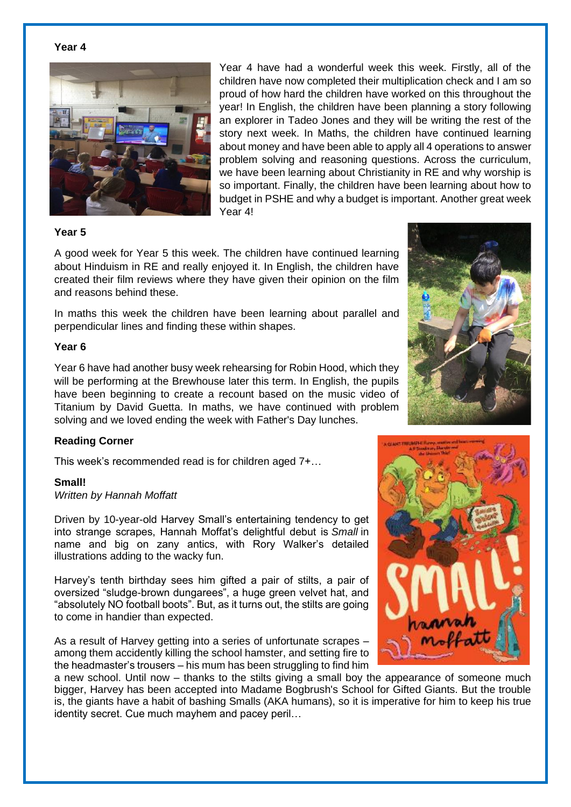#### **Year 4**



Year 4 have had a wonderful week this week. Firstly, all of the children have now completed their multiplication check and I am so proud of how hard the children have worked on this throughout the year! In English, the children have been planning a story following an explorer in Tadeo Jones and they will be writing the rest of the story next week. In Maths, the children have continued learning about money and have been able to apply all 4 operations to answer problem solving and reasoning questions. Across the curriculum, we have been learning about Christianity in RE and why worship is so important. Finally, the children have been learning about how to budget in PSHE and why a budget is important. Another great week Year 4!

#### **Year 5**

A good week for Year 5 this week. The children have continued learning about Hinduism in RE and really enjoyed it. In English, the children have created their film reviews where they have given their opinion on the film and reasons behind these.

In maths this week the children have been learning about parallel and perpendicular lines and finding these within shapes.

#### **Year 6**

Year 6 have had another busy week rehearsing for Robin Hood, which they will be performing at the Brewhouse later this term. In English, the pupils have been beginning to create a recount based on the music video of Titanium by David Guetta. In maths, we have continued with problem solving and we loved ending the week with Father's Day lunches.

#### **Reading Corner**

This week's recommended read is for children aged 7+…

#### **Small!**

#### *Written by Hannah Moffatt*

Driven by 10-year-old Harvey Small's entertaining tendency to get into strange scrapes, Hannah Moffat's delightful debut is *Small* in name and big on zany antics, with Rory Walker's detailed illustrations adding to the wacky fun.

Harvey's tenth birthday sees him gifted a pair of stilts, a pair of oversized "sludge-brown dungarees", a huge green velvet hat, and "absolutely NO football boots". But, as it turns out, the stilts are going to come in handier than expected.

As a result of Harvey getting into a series of unfortunate scrapes – among them accidently killing the school hamster, and setting fire to the headmaster's trousers – his mum has been struggling to find him

a new school. Until now – thanks to the stilts giving a small boy the appearance of someone much bigger, Harvey has been accepted into Madame Bogbrush's School for Gifted Giants. But the trouble is, the giants have a habit of bashing Smalls (AKA humans), so it is imperative for him to keep his true identity secret. Cue much mayhem and pacey peril…



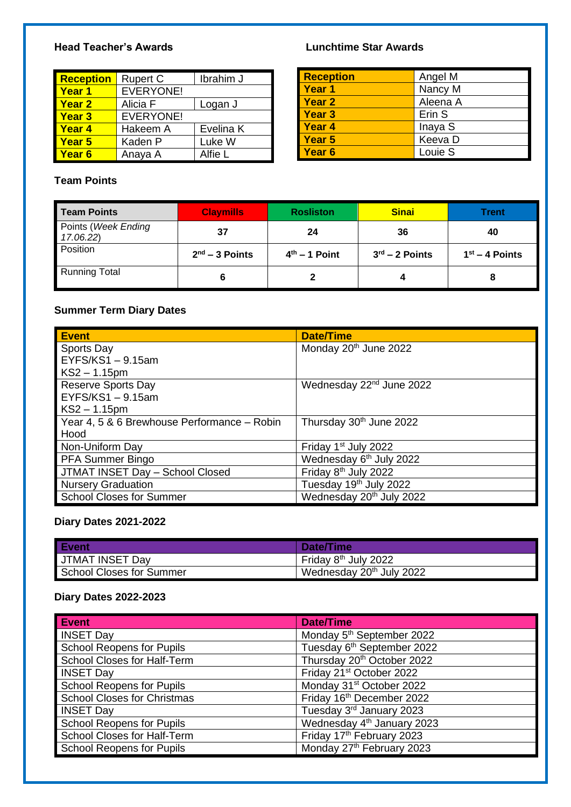# **Head Teacher's Awards Lunchtime Star Awards**

| <b>Reception</b> | <b>Rupert C</b>  | Ibrahim J |
|------------------|------------------|-----------|
| <b>Year 1</b>    | <b>EVERYONE!</b> |           |
| <b>Year 2</b>    | Alicia F         | Logan J   |
| <b>Year 3</b>    | <b>EVERYONE!</b> |           |
| <b>Year 4</b>    | Hakeem A         | Evelina K |
| Year 5           | Kaden P          | Luke W    |
| Year 6           | Anaya A          | Alfie L   |

# **Team Points**

| <b>Reception</b>  | Angel M  |
|-------------------|----------|
| Year 1            | Nancy M  |
| <b>Year 2</b>     | Aleena A |
| <b>Year 3</b>     | Erin S   |
| <b>Year 4</b>     | Inaya S  |
| Year <sub>5</sub> | Keeva D  |
| Year <sub>6</sub> | Louie S  |

| <b>Team Points</b>               | <b>Claymills</b> | <b>Rosliston</b> | <b>Sinai</b>               | Trent            |
|----------------------------------|------------------|------------------|----------------------------|------------------|
| Points (Week Ending<br>17.06.22) | 37               | 24               | 36                         | 40               |
| Position                         | $2nd - 3$ Points | $4th - 1$ Point  | $3^{\text{rd}}$ – 2 Points | $1st - 4$ Points |
| <b>Running Total</b>             | 6                |                  |                            | 8                |

# **Summer Term Diary Dates**

| <b>Event</b>                                | <b>Date/Time</b>                     |
|---------------------------------------------|--------------------------------------|
| <b>Sports Day</b>                           | Monday 20 <sup>th</sup> June 2022    |
| $EYFS/KS1 - 9.15am$                         |                                      |
| $KS2 - 1.15$ pm                             |                                      |
| <b>Reserve Sports Day</b>                   | Wednesday 22 <sup>nd</sup> June 2022 |
| $EYFS/KS1 - 9.15am$                         |                                      |
| $KS2 - 1.15$ pm                             |                                      |
| Year 4, 5 & 6 Brewhouse Performance - Robin | Thursday 30 <sup>th</sup> June 2022  |
| Hood                                        |                                      |
| Non-Uniform Day                             | Friday 1 <sup>st</sup> July 2022     |
| <b>PFA Summer Bingo</b>                     | Wednesday 6 <sup>th</sup> July 2022  |
| <b>JTMAT INSET Day - School Closed</b>      | Friday 8 <sup>th</sup> July 2022     |
| <b>Nursery Graduation</b>                   | Tuesday 19 <sup>th</sup> July 2022   |
| <b>School Closes for Summer</b>             | Wednesday 20 <sup>th</sup> July 2022 |

# **Diary Dates 2021-2022**

| <b>Event</b>             | Date/Time                            |
|--------------------------|--------------------------------------|
| JTMAT INSET Day          | Friday 8 <sup>th</sup> July 2022     |
| School Closes for Summer | Wednesday 20 <sup>th</sup> July 2022 |

# **Diary Dates 2022-2023**

| Event/                             | <b>Date/Time</b>                       |
|------------------------------------|----------------------------------------|
| <b>INSET Day</b>                   | Monday 5 <sup>th</sup> September 2022  |
| <b>School Reopens for Pupils</b>   | Tuesday 6 <sup>th</sup> September 2022 |
| School Closes for Half-Term        | Thursday 20 <sup>th</sup> October 2022 |
| <b>INSET Day</b>                   | Friday 21 <sup>st</sup> October 2022   |
| <b>School Reopens for Pupils</b>   | Monday 31 <sup>st</sup> October 2022   |
| <b>School Closes for Christmas</b> | Friday 16th December 2022              |
| <b>INSET Day</b>                   | Tuesday 3rd January 2023               |
| <b>School Reopens for Pupils</b>   | Wednesday 4 <sup>th</sup> January 2023 |
| School Closes for Half-Term        | Friday 17th February 2023              |
| School Reopens for Pupils          | Monday 27th February 2023              |